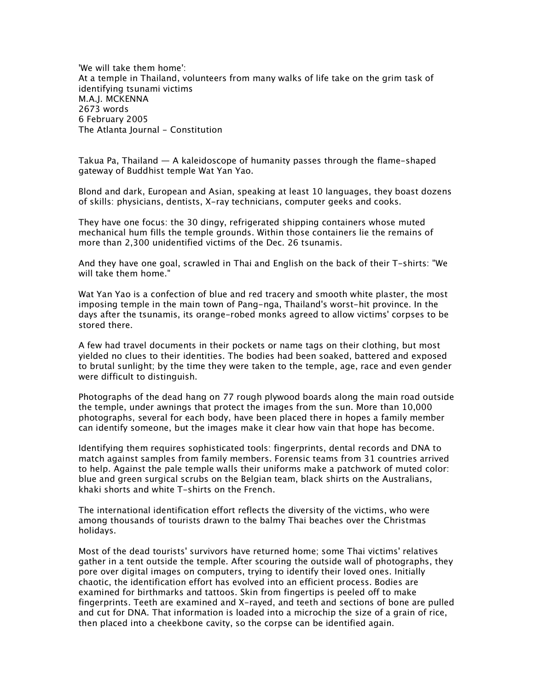*'We will take them home': At a temple in Thailand, volunteers from many walks of life take on the grim task of identifying tsunami victims M.A.J. MCKENNA 2673 words 6 February 2005 The Atlanta Journal - Constitution*

*Takua Pa, Thailand — A kaleidoscope of humanity passes through the flame-shaped gateway of Buddhist temple Wat Yan Yao.*

*Blond and dark, European and Asian, speaking at least 10 languages, they boast dozens of skills: physicians, dentists, X-ray technicians, computer geeks and cooks.*

*They have one focus: the 30 dingy, refrigerated shipping containers whose muted mechanical hum fills the temple grounds. Within those containers lie the remains of more than 2,300 unidentified victims of the Dec. 26 tsunamis.*

*And they have one goal, scrawled in Thai and English on the back of their T-shirts: "We will take them home."*

*Wat Yan Yao is a confection of blue and red tracery and smooth white plaster, the most imposing temple in the main town of Pang-nga, Thailand's worst-hit province. In the days after the tsunamis, its orange-robed monks agreed to allow victims' corpses to be stored there.*

*A few had travel documents in their pockets or name tags on their clothing, but most yielded no clues to their identities. The bodies had been soaked, battered and exposed to brutal sunlight; by the time they were taken to the temple, age, race and even gender were difficult to distinguish.*

*Photographs of the dead hang on 77 rough plywood boards along the main road outside the temple, under awnings that protect the images from the sun. More than 10,000 photographs, several for each body, have been placed there in hopes a family member can identify someone, but the images make it clear how vain that hope has become.*

*Identifying them requires sophisticated tools: fingerprints, dental records and DNA to match against samples from family members. Forensic teams from 31 countries arrived to help. Against the pale temple walls their uniforms make a patchwork of muted color: blue and green surgical scrubs on the Belgian team, black shirts on the Australians, khaki shorts and white T-shirts on the French.*

*The international identification effort reflects the diversity of the victims, who were among thousands of tourists drawn to the balmy Thai beaches over the Christmas holidays.*

*Most of the dead tourists' survivors have returned home; some Thai victims' relatives*  gather in a tent outside the temple. After scouring the outside wall of photographs, they *pore over digital images on computers, trying to identify their loved ones. Initially chaotic, the identification effort has evolved into an efficient process. Bodies are examined for birthmarks and tattoos. Skin from fingertips is peeled off to make fingerprints. Teeth are examined and X-rayed, and teeth and sections of bone are pulled and cut for DNA. That information is loaded into a microchip the size of a grain of rice, then placed into a cheekbone cavity, so the corpse can be identified again.*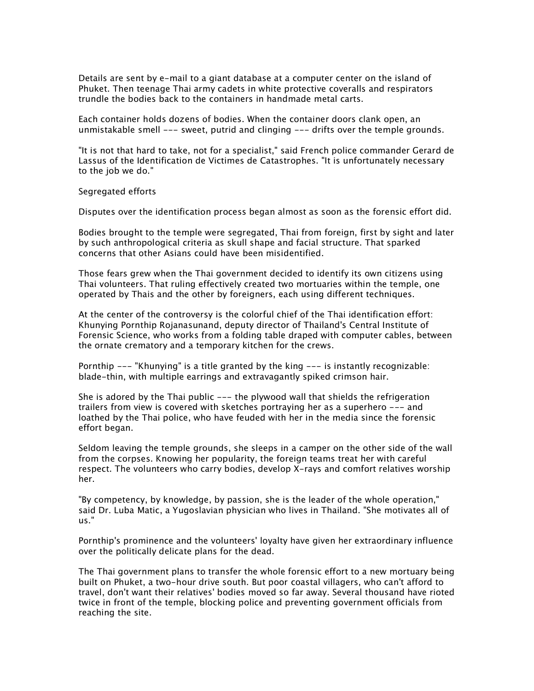*Details are sent by e-mail to a giant database at a computer center on the island of Phuket. Then teenage Thai army cadets in white protective coveralls and respirators trundle the bodies back to the containers in handmade metal carts.*

*Each container holds dozens of bodies. When the container doors clank open, an unmistakable smell --- sweet, putrid and clinging --- drifts over the temple grounds.*

*"It is not that hard to take, not for a specialist," said French police commander Gerard de Lassus of the Identification de Victimes de Catastrophes. "It is unfortunately necessary to the job we do."*

*Segregated efforts*

*Disputes over the identification process began almost as soon as the forensic effort did.*

*Bodies brought to the temple were segregated, Thai from foreign, first by sight and later by such anthropological criteria as skull shape and facial structure. That sparked concerns that other Asians could have been misidentified.*

*Those fears grew when the Thai government decided to identify its own citizens using Thai volunteers. That ruling effectively created two mortuaries within the temple, one operated by Thais and the other by foreigners, each using different techniques.*

*At the center of the controversy is the colorful chief of the Thai identification effort: Khunying Pornthip Rojanasunand, deputy director of Thailand's Central Institute of Forensic Science, who works from a folding table draped with computer cables, between the ornate crematory and a temporary kitchen for the crews.*

*Pornthip --- "Khunying" is a title granted by the king --- is instantly recognizable: blade-thin, with multiple earrings and extravagantly spiked crimson hair.*

*She is adored by the Thai public --- the plywood wall that shields the refrigeration trailers from view is covered with sketches portraying her as a superhero --- and loathed by the Thai police, who have feuded with her in the media since the forensic effort began.*

*Seldom leaving the temple grounds, she sleeps in a camper on the other side of the wall from the corpses. Knowing her popularity, the foreign teams treat her with careful respect. The volunteers who carry bodies, develop X-rays and comfort relatives worship her.*

*"By competency, by knowledge, by passion, she is the leader of the whole operation," said Dr. Luba Matic, a Yugoslavian physician who lives in Thailand. "She motivates all of us."*

*Pornthip's prominence and the volunteers' loyalty have given her extraordinary influence over the politically delicate plans for the dead.*

*The Thai government plans to transfer the whole forensic effort to a new mortuary being built on Phuket, a two-hour drive south. But poor coastal villagers, who can't afford to travel, don't want their relatives' bodies moved so far away. Several thousand have rioted twice in front of the temple, blocking police and preventing government officials from reaching the site.*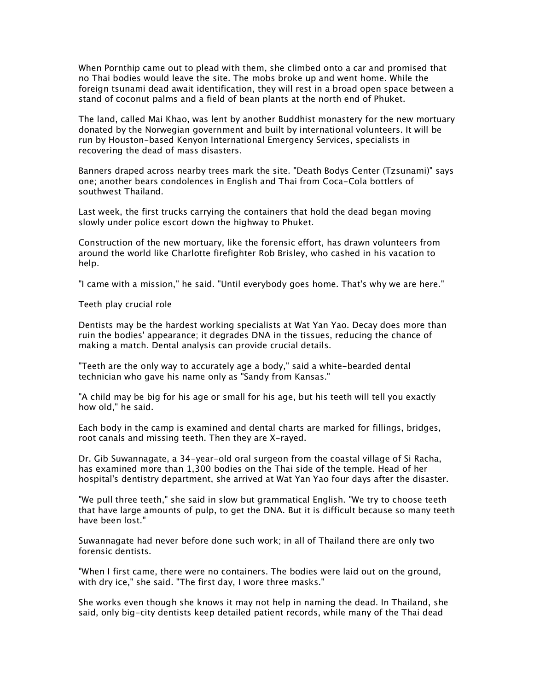*When Pornthip came out to plead with them, she climbed onto a car and promised that*  no Thai bodies would leave the site. The mobs broke up and went home. While the *foreign tsunami dead await identification, they will rest in a broad open space between a stand of coconut palms and a field of bean plants at the north end of Phuket.*

*The land, called Mai Khao, was lent by another Buddhist monastery for the new mortuary donated by the Norwegian government and built by international volunteers. It will be run by Houston-based Kenyon International Emergency Services, specialists in recovering the dead of mass disasters.*

*Banners draped across nearby trees mark the site. "Death Bodys Center (Tzsunami)" says one; another bears condolences in English and Thai from Coca-Cola bottlers of southwest Thailand.*

Last week, the first trucks carrying the containers that hold the dead began moving *slowly under police escort down the highway to Phuket.*

*Construction of the new mortuary, like the forensic effort, has drawn volunteers from around the world like Charlotte firefighter Rob Brisley, who cashed in his vacation to help.*

*"I came with a mission," he said. "Until everybody goes home. That's why we are here."*

*Teeth play crucial role*

*Dentists may be the hardest working specialists at Wat Yan Yao. Decay does more than ruin the bodies' appearance; it degrades DNA in the tissues, reducing the chance of making a match. Dental analysis can provide crucial details.*

*"Teeth are the only way to accurately age a body," said a white-bearded dental technician who gave his name only as "Sandy from Kansas."*

*"A child may be big for his age or small for his age, but his teeth will tell you exactly how old," he said.*

*Each body in the camp is examined and dental charts are marked for fillings, bridges, root canals and missing teeth. Then they are X-rayed.*

*Dr. Gib Suwannagate, a 34-year-old oral surgeon from the coastal village of Si Racha, has examined more than 1,300 bodies on the Thai side of the temple. Head of her hospital's dentistry department, she arrived at Wat Yan Yao four days after the disaster.*

*"We pull three teeth," she said in slow but grammatical English. "We try to choose teeth that have large amounts of pulp, to get the DNA. But it is difficult because so many teeth have been lost."*

*Suwannagate had never before done such work; in all of Thailand there are only two forensic dentists.*

*"When I first came, there were no containers. The bodies were laid out on the ground, with dry ice," she said. "The first day, I wore three masks."*

*She works even though she knows it may not help in naming the dead. In Thailand, she said, only big-city dentists keep detailed patient records, while many of the Thai dead*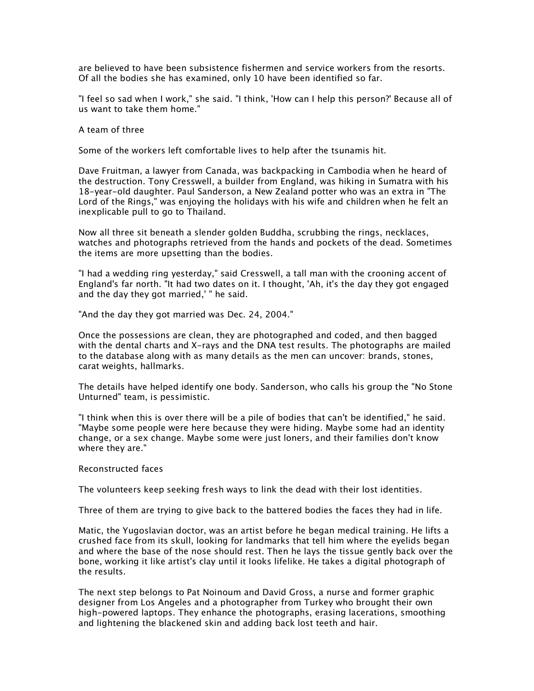*are believed to have been subsistence fishermen and service workers from the resorts. Of all the bodies she has examined, only 10 have been identified so far.*

*"I feel so sad when I work," she said. "I think, 'How can I help this person?' Because all of us want to take them home."*

*A team of three*

*Some of the workers left comfortable lives to help after the tsunamis hit.*

*Dave Fruitman, a lawyer from Canada, was backpacking in Cambodia when he heard of the destruction. Tony Cresswell, a builder from England, was hiking in Sumatra with his 18-year-old daughter. Paul Sanderson, a New Zealand potter who was an extra in "The Lord of the Rings," was enjoying the holidays with his wife and children when he felt an inexplicable pull to go to Thailand.*

*Now all three sit beneath a slender golden Buddha, scrubbing the rings, necklaces, watches and photographs retrieved from the hands and pockets of the dead. Sometimes the items are more upsetting than the bodies.*

*"I had a wedding ring yesterday," said Cresswell, a tall man with the crooning accent of England's far north. "It had two dates on it. I thought, 'Ah, it's the day they got engaged and the day they got married,' " he said.*

*"And the day they got married was Dec. 24, 2004."*

*Once the possessions are clean, they are photographed and coded, and then bagged with the dental charts and X-rays and the DNA test results. The photographs are mailed to the database along with as many details as the men can uncover: brands, stones, carat weights, hallmarks.*

*The details have helped identify one body. Sanderson, who calls his group the "No Stone Unturned" team, is pessimistic.*

*"I think when this is over there will be a pile of bodies that can't be identified," he said. "Maybe some people were here because they were hiding. Maybe some had an identity change, or a sex change. Maybe some were just loners, and their families don't know where they are."*

## *Reconstructed faces*

*The volunteers keep seeking fresh ways to link the dead with their lost identities.*

*Three of them are trying to give back to the battered bodies the faces they had in life.*

*Matic, the Yugoslavian doctor, was an artist before he began medical training. He lifts a crushed face from its skull, looking for landmarks that tell him where the eyelids began and where the base of the nose should rest. Then he lays the tissue gently back over the bone, working it like artist's clay until it looks lifelike. He takes a digital photograph of the results.*

*The next step belongs to Pat Noinoum and David Gross, a nurse and former graphic designer from Los Angeles and a photographer from Turkey who brought their own high-powered laptops. They enhance the photographs, erasing lacerations, smoothing and lightening the blackened skin and adding back lost teeth and hair.*